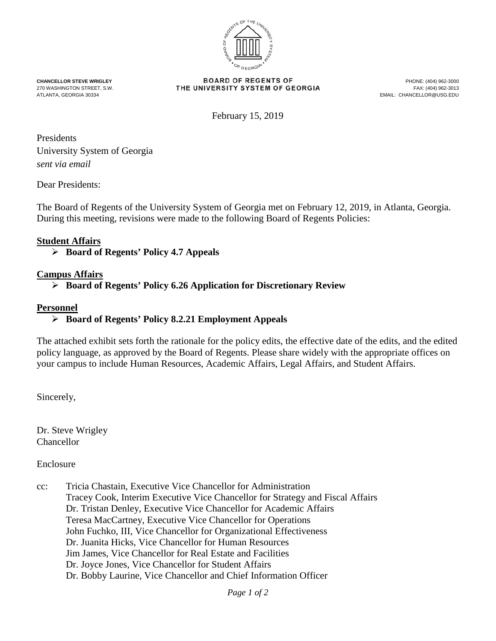

**CHANCELLOR STEVE WRIGLEY CHANCELLOR STEVE WRIGLEY BOARD OF REGENTS OF**<br>270 WASHINGTON STREET, S.W. **THE UNIVERSITY SYSTEM OF GEORGIA** FAX: (404) 962-3013 270 WASHINGTON STREET, S.W. FAX: THE UNIVERSITY SYSTEM OF GEORGIA<br>ATLANTA, GEORGIA 30334

EMAIL: CHANCELLOR@USG.EDU

February 15, 2019

Presidents University System of Georgia *sent via email*

Dear Presidents:

The Board of Regents of the University System of Georgia met on February 12, 2019, in Atlanta, Georgia. During this meeting, revisions were made to the following Board of Regents Policies:

## **Student Affairs**

**Board of Regents' Policy 4.7 Appeals**

## **Campus Affairs**

**Board of Regents' Policy 6.26 Application for Discretionary Review**

## **Personnel**

**Board of Regents' Policy 8.2.21 Employment Appeals**

The attached exhibit sets forth the rationale for the policy edits, the effective date of the edits, and the edited policy language, as approved by the Board of Regents. Please share widely with the appropriate offices on your campus to include Human Resources, Academic Affairs, Legal Affairs, and Student Affairs.

Sincerely,

Dr. Steve Wrigley Chancellor

Enclosure

cc: Tricia Chastain, Executive Vice Chancellor for Administration Tracey Cook, Interim Executive Vice Chancellor for Strategy and Fiscal Affairs Dr. Tristan Denley, Executive Vice Chancellor for Academic Affairs Teresa MacCartney, Executive Vice Chancellor for Operations John Fuchko, III, Vice Chancellor for Organizational Effectiveness Dr. Juanita Hicks, Vice Chancellor for Human Resources Jim James, Vice Chancellor for Real Estate and Facilities Dr. Joyce Jones, Vice Chancellor for Student Affairs Dr. Bobby Laurine, Vice Chancellor and Chief Information Officer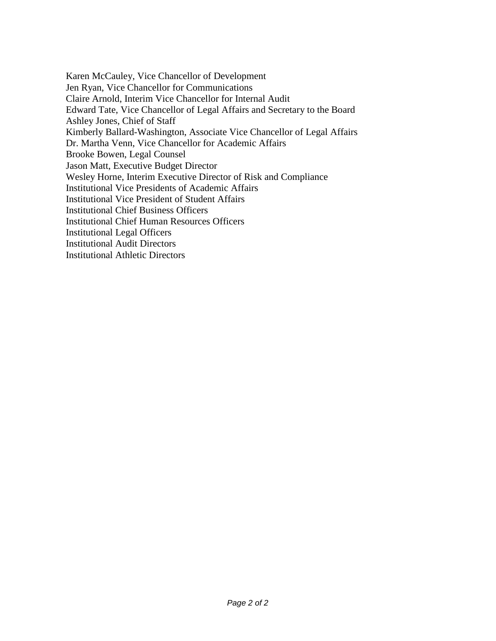Karen McCauley, Vice Chancellor of Development Jen Ryan, Vice Chancellor for Communications Claire Arnold, Interim Vice Chancellor for Internal Audit Edward Tate, Vice Chancellor of Legal Affairs and Secretary to the Board Ashley Jones, Chief of Staff Kimberly Ballard-Washington, Associate Vice Chancellor of Legal Affairs Dr. Martha Venn, Vice Chancellor for Academic Affairs Brooke Bowen, Legal Counsel Jason Matt, Executive Budget Director Wesley Horne, Interim Executive Director of Risk and Compliance Institutional Vice Presidents of Academic Affairs Institutional Vice President of Student Affairs Institutional Chief Business Officers Institutional Chief Human Resources Officers Institutional Legal Officers Institutional Audit Directors Institutional Athletic Directors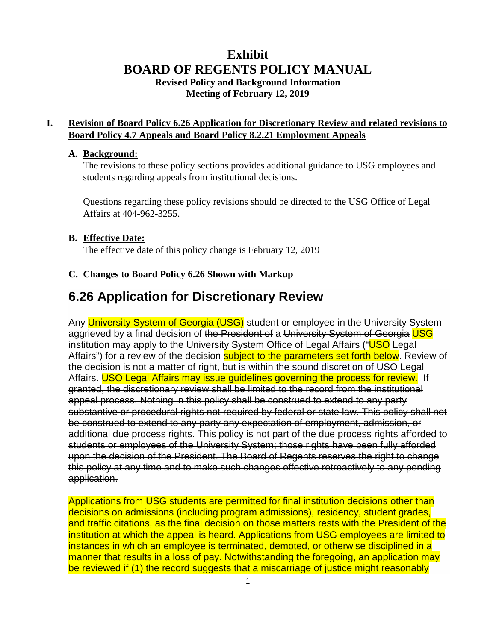# **Exhibit BOARD OF REGENTS POLICY MANUAL Revised Policy and Background Information Meeting of February 12, 2019**

## **I. Revision of Board Policy 6.26 Application for Discretionary Review and related revisions to Board Policy 4.7 Appeals and Board Policy 8.2.21 Employment Appeals**

#### **A. Background:**

The revisions to these policy sections provides additional guidance to USG employees and students regarding appeals from institutional decisions.

Questions regarding these policy revisions should be directed to the USG Office of Legal Affairs at 404-962-3255.

### **B. Effective Date:**

The effective date of this policy change is February 12, 2019

#### **C. Changes to Board Policy 6.26 Shown with Markup**

# **6.26 Application for Discretionary Review**

Any University System of Georgia (USG) student or employee in the University System aggrieved by a final decision of the President of a University System of Georgia USG institution may apply to the University System Office of Legal Affairs ("USO Legal Affairs") for a review of the decision **subject to the parameters set forth below**. Review of the decision is not a matter of right, but is within the sound discretion of USO Legal Affairs. USO Legal Affairs may issue guidelines governing the process for review. If granted, the discretionary review shall be limited to the record from the institutional appeal process. Nothing in this policy shall be construed to extend to any party substantive or procedural rights not required by federal or state law. This policy shall not be construed to extend to any party any expectation of employment, admission, or additional due process rights. This policy is not part of the due process rights afforded to students or employees of the University System; those rights have been fully afforded upon the decision of the President. The Board of Regents reserves the right to change this policy at any time and to make such changes effective retroactively to any pending application.

Applications from USG students are permitted for final institution decisions other than decisions on admissions (including program admissions), residency, student grades, and traffic citations, as the final decision on those matters rests with the President of the institution at which the appeal is heard. Applications from USG employees are limited to instances in which an employee is terminated, demoted, or otherwise disciplined in a manner that results in a loss of pay. Notwithstanding the foregoing, an application may be reviewed if (1) the record suggests that a miscarriage of justice might reasonably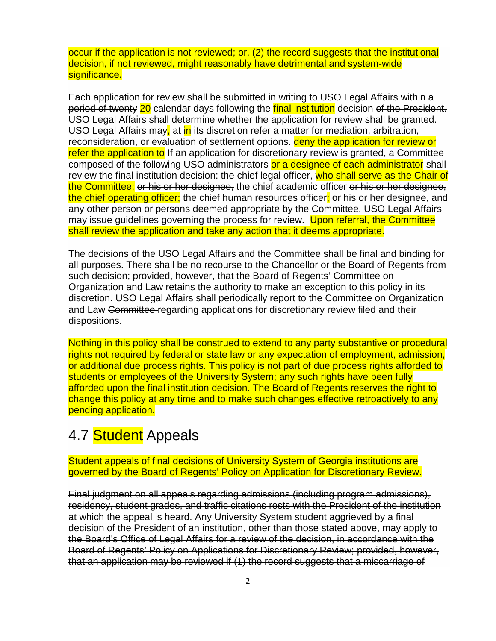occur if the application is not reviewed; or, (2) the record suggests that the institutional decision, if not reviewed, might reasonably have detrimental and system-wide significance.

Each application for review shall be submitted in writing to USO Legal Affairs within a period of twenty 20 calendar days following the final institution decision of the President. USO Legal Affairs shall determine whether the application for review shall be granted. USO Legal Affairs may, at in its discretion refer a matter for mediation, arbitration, reconsideration, or evaluation of settlement options. deny the application for review or refer the application to If an application for discretionary review is granted, a Committee composed of the following USO administrators or a designee of each administrator shall review the final institution decision: the chief legal officer, who shall serve as the Chair of the Committee; or his or her designee, the chief academic officer or his or her designee, the chief operating officer; the chief human resources officer; or his or her designee, and any other person or persons deemed appropriate by the Committee. USO Legal Affairs may issue guidelines governing the process for review. Upon referral, the Committee shall review the application and take any action that it deems appropriate.

The decisions of the USO Legal Affairs and the Committee shall be final and binding for all purposes. There shall be no recourse to the Chancellor or the Board of Regents from such decision; provided, however, that the Board of Regents' Committee on Organization and Law retains the authority to make an exception to this policy in its discretion. USO Legal Affairs shall periodically report to the Committee on Organization and Law Committee regarding applications for discretionary review filed and their dispositions.

Nothing in this policy shall be construed to extend to any party substantive or procedural rights not required by federal or state law or any expectation of employment, admission, or additional due process rights. This policy is not part of due process rights afforded to students or employees of the University System; any such rights have been fully afforded upon the final institution decision. The Board of Regents reserves the right to change this policy at any time and to make such changes effective retroactively to any pending application.

# 4.7 Student Appeals

Student appeals of final decisions of University System of Georgia institutions are governed by the Board of Regents' Policy on Application for Discretionary Review.

Final judgment on all appeals regarding admissions (including program admissions), residency, student grades, and traffic citations rests with the President of the institution at which the appeal is heard. Any University System student aggrieved by a final decision of the President of an institution, other than those stated above, may apply to the Board's Office of Legal Affairs for a review of the decision, in accordance with the Board of Regents' Policy on Applications for Discretionary Review; provided, however, that an application may be reviewed if (1) the record suggests that a miscarriage of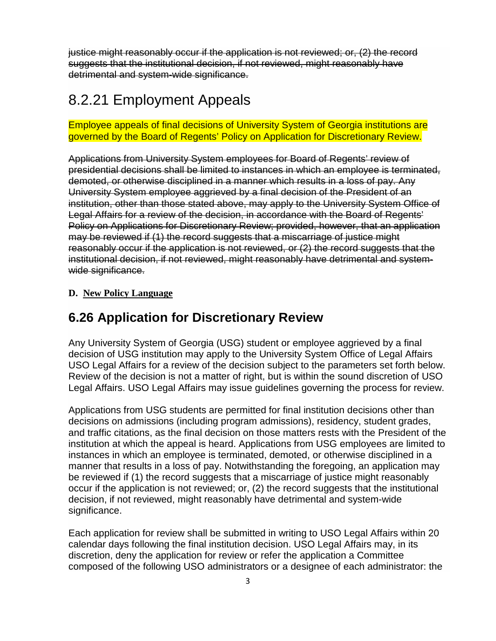justice might reasonably occur if the application is not reviewed; or, (2) the record suggests that the institutional decision, if not reviewed, might reasonably have detrimental and system-wide significance.

# 8.2.21 Employment Appeals

## Employee appeals of final decisions of University System of Georgia institutions are governed by the Board of Regents' Policy on Application for Discretionary Review.

Applications from University System employees for Board of Regents' review of presidential decisions shall be limited to instances in which an employee is terminated, demoted, or otherwise disciplined in a manner which results in a loss of pay. Any University System employee aggrieved by a final decision of the President of an institution, other than those stated above, may apply to the University System Office of Legal Affairs for a review of the decision, in accordance with the Board of Regents' Policy on Applications for Discretionary Review; provided, however, that an application may be reviewed if (1) the record suggests that a miscarriage of justice might reasonably occur if the application is not reviewed, or (2) the record suggests that the institutional decision, if not reviewed, might reasonably have detrimental and systemwide significance.

## **D. New Policy Language**

# **6.26 Application for Discretionary Review**

Any University System of Georgia (USG) student or employee aggrieved by a final decision of USG institution may apply to the University System Office of Legal Affairs USO Legal Affairs for a review of the decision subject to the parameters set forth below. Review of the decision is not a matter of right, but is within the sound discretion of USO Legal Affairs. USO Legal Affairs may issue guidelines governing the process for review.

Applications from USG students are permitted for final institution decisions other than decisions on admissions (including program admissions), residency, student grades, and traffic citations, as the final decision on those matters rests with the President of the institution at which the appeal is heard. Applications from USG employees are limited to instances in which an employee is terminated, demoted, or otherwise disciplined in a manner that results in a loss of pay. Notwithstanding the foregoing, an application may be reviewed if (1) the record suggests that a miscarriage of justice might reasonably occur if the application is not reviewed; or, (2) the record suggests that the institutional decision, if not reviewed, might reasonably have detrimental and system-wide significance.

Each application for review shall be submitted in writing to USO Legal Affairs within 20 calendar days following the final institution decision. USO Legal Affairs may, in its discretion, deny the application for review or refer the application a Committee composed of the following USO administrators or a designee of each administrator: the